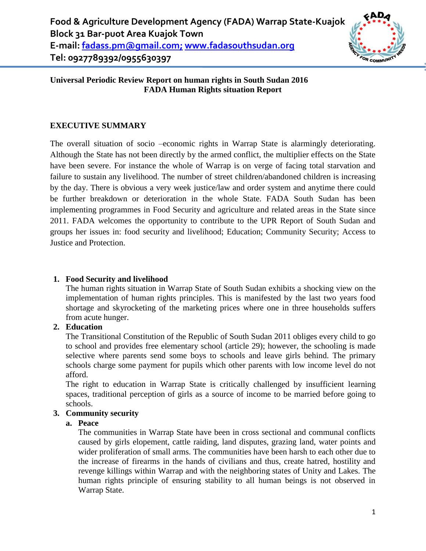

## **Universal Periodic Review Report on human rights in South Sudan 2016 FADA Human Rights situation Report**

# **EXECUTIVE SUMMARY**

The overall situation of socio –economic rights in Warrap State is alarmingly deteriorating. Although the State has not been directly by the armed conflict, the multiplier effects on the State have been severe. For instance the whole of Warrap is on verge of facing total starvation and failure to sustain any livelihood. The number of street children/abandoned children is increasing by the day. There is obvious a very week justice/law and order system and anytime there could be further breakdown or deterioration in the whole State. FADA South Sudan has been implementing programmes in Food Security and agriculture and related areas in the State since 2011. FADA welcomes the opportunity to contribute to the UPR Report of South Sudan and groups her issues in: food security and livelihood; Education; Community Security; Access to Justice and Protection.

# **1. Food Security and livelihood**

The human rights situation in Warrap State of South Sudan exhibits a shocking view on the implementation of human rights principles. This is manifested by the last two years food shortage and skyrocketing of the marketing prices where one in three households suffers from acute hunger.

# **2. Education**

The Transitional Constitution of the Republic of South Sudan 2011 obliges every child to go to school and provides free elementary school (article 29); however, the schooling is made selective where parents send some boys to schools and leave girls behind. The primary schools charge some payment for pupils which other parents with low income level do not afford.

The right to education in Warrap State is critically challenged by insufficient learning spaces, traditional perception of girls as a source of income to be married before going to schools.

## **3. Community security**

## **a. Peace**

The communities in Warrap State have been in cross sectional and communal conflicts caused by girls elopement, cattle raiding, land disputes, grazing land, water points and wider proliferation of small arms. The communities have been harsh to each other due to the increase of firearms in the hands of civilians and thus, create hatred, hostility and revenge killings within Warrap and with the neighboring states of Unity and Lakes. The human rights principle of ensuring stability to all human beings is not observed in Warrap State.